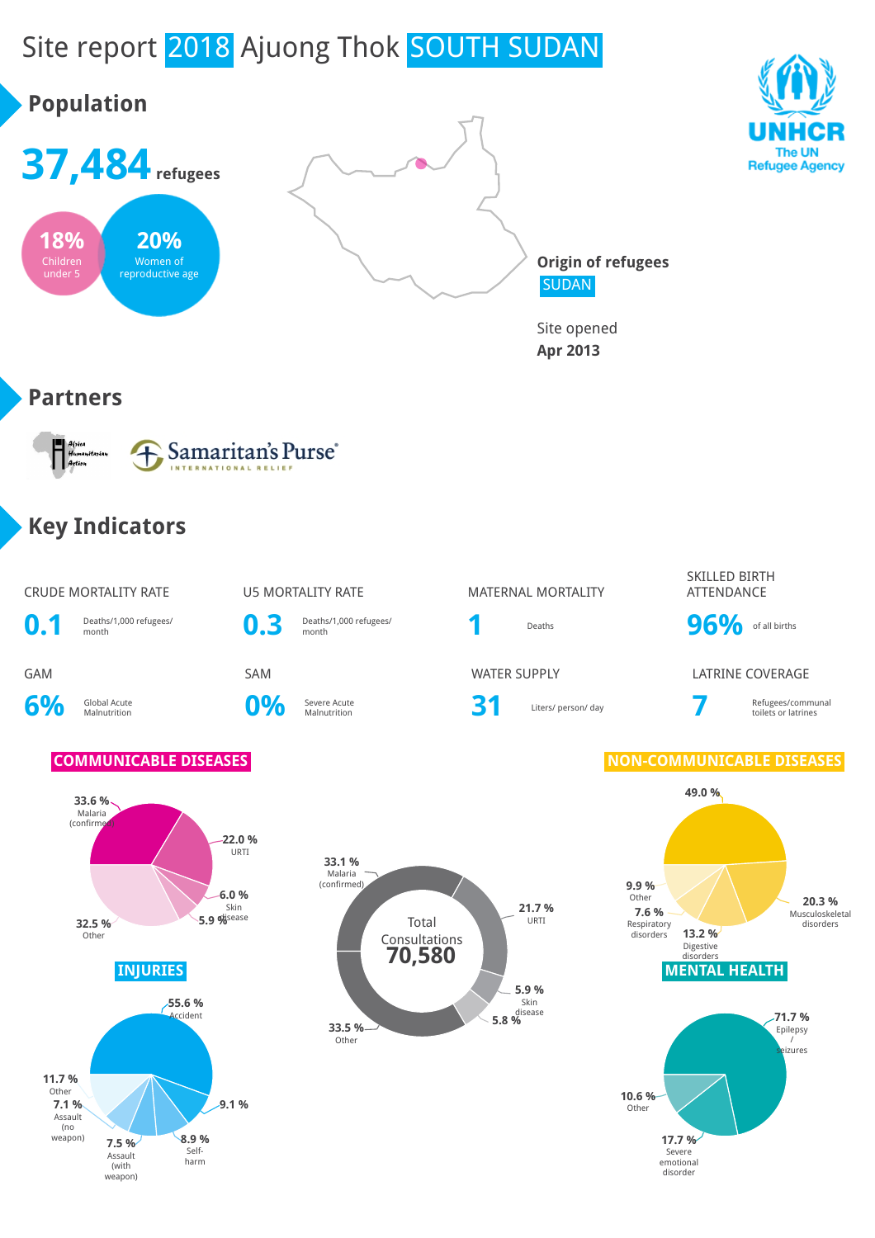# Site report 2018 Ajuong Thok SOUTH SUDAN

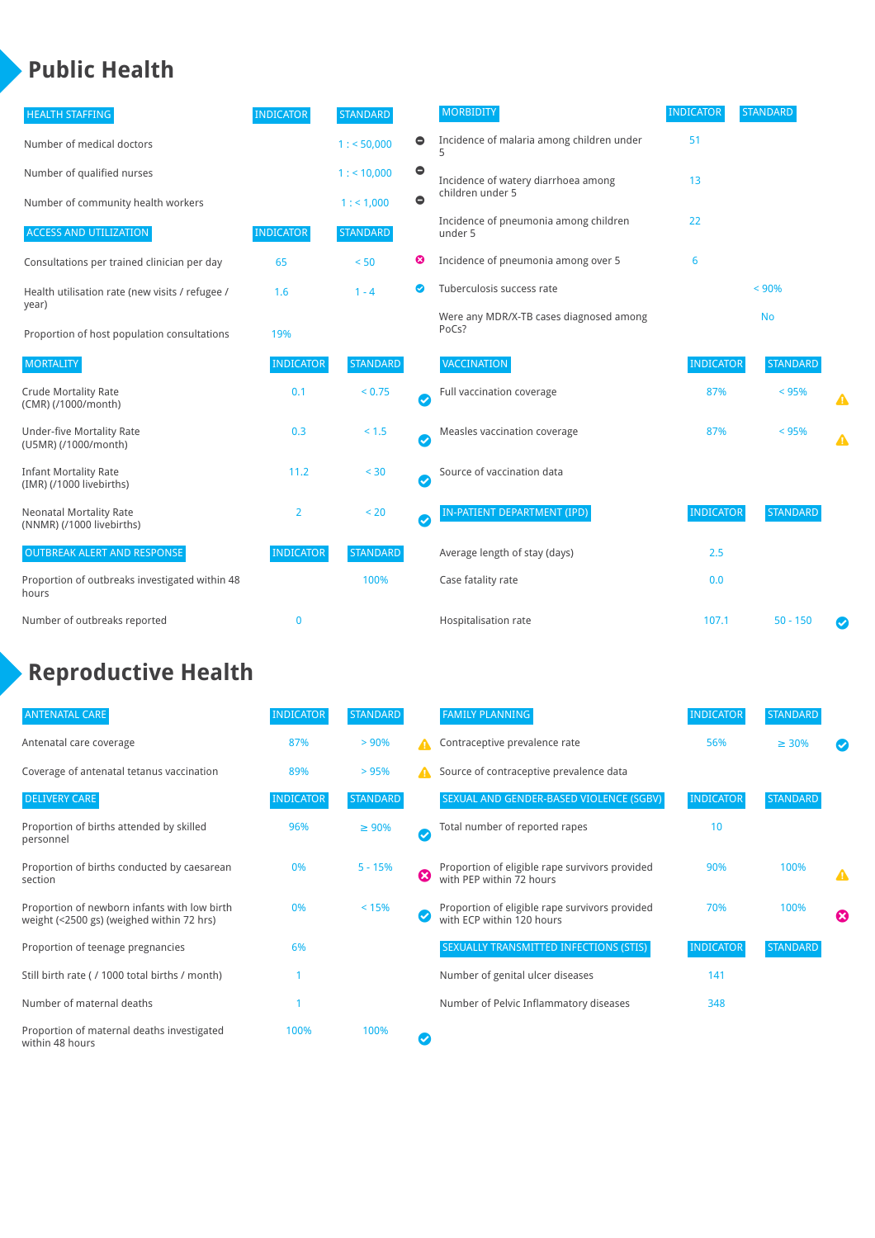### **Public Health**

| <b>HEALTH STAFFING</b>                                      | <b>INDICATOR</b> | <b>STANDARD</b> |           | <b>MORBIDITY</b>                                 | <b>INDICATOR</b> | <b>STANDARD</b> |   |
|-------------------------------------------------------------|------------------|-----------------|-----------|--------------------------------------------------|------------------|-----------------|---|
| Number of medical doctors                                   |                  | 1: 50,000       | $\bullet$ | Incidence of malaria among children under        | 51               |                 |   |
| Number of qualified nurses                                  |                  | $1:$ < 10,000   | $\bullet$ | Incidence of watery diarrhoea among              | 13               |                 |   |
| Number of community health workers                          |                  | 1:1,000         | $\bullet$ | children under 5                                 |                  |                 |   |
| <b>ACCESS AND UTILIZATION</b>                               | <b>INDICATOR</b> | <b>STANDARD</b> |           | Incidence of pneumonia among children<br>under 5 | 22               |                 |   |
| Consultations per trained clinician per day                 | 65               | < 50            | ☺         | Incidence of pneumonia among over 5              | 6                |                 |   |
| Health utilisation rate (new visits / refugee /             | 1.6              | $1 - 4$         | ◙         | Tuberculosis success rate                        |                  | < 90%           |   |
| year)<br>Proportion of host population consultations        | 19%              |                 |           | Were any MDR/X-TB cases diagnosed among<br>PoCs? |                  | <b>No</b>       |   |
| <b>MORTALITY</b>                                            | <b>INDICATOR</b> | <b>STANDARD</b> |           | <b>VACCINATION</b>                               | <b>INDICATOR</b> | <b>STANDARD</b> |   |
| <b>Crude Mortality Rate</b><br>(CMR) (/1000/month)          | 0.1              | < 0.75          | Ø         | Full vaccination coverage                        | 87%              | < 95%           |   |
| <b>Under-five Mortality Rate</b><br>(U5MR) (/1000/month)    | 0.3              | < 1.5           | Ø         | Measles vaccination coverage                     | 87%              | < 95%           | Δ |
| <b>Infant Mortality Rate</b><br>(IMR) (/1000 livebirths)    | 11.2             | < 30            | Ø         | Source of vaccination data                       |                  |                 |   |
| <b>Neonatal Mortality Rate</b><br>(NNMR) (/1000 livebirths) | 2                | < 20            | Ø         | IN-PATIENT DEPARTMENT (IPD)                      | <b>INDICATOR</b> | <b>STANDARD</b> |   |
| <b>OUTBREAK ALERT AND RESPONSE</b>                          | <b>INDICATOR</b> | <b>STANDARD</b> |           | Average length of stay (days)                    | 2.5              |                 |   |
| Proportion of outbreaks investigated within 48<br>hours     |                  | 100%            |           | Case fatality rate                               | 0.0              |                 |   |
| Number of outbreaks reported                                | 0                |                 |           | Hospitalisation rate                             | 107.1            | $50 - 150$      |   |

## **Reproductive Health**

| <b>ANTENATAL CARE</b>                                                                     | <b>INDICATOR</b> | <b>STANDARD</b> |          | <b>FAMILY PLANNING</b>                                                      | <b>INDICATOR</b> | <b>STANDARD</b> |                       |
|-------------------------------------------------------------------------------------------|------------------|-----------------|----------|-----------------------------------------------------------------------------|------------------|-----------------|-----------------------|
| Antenatal care coverage                                                                   | 87%              | > 90%           | А        | Contraceptive prevalence rate                                               | 56%              | $\geq 30\%$     |                       |
| Coverage of antenatal tetanus vaccination                                                 | 89%              | >95%            | A        | Source of contraceptive prevalence data                                     |                  |                 |                       |
| <b>DELIVERY CARE</b>                                                                      | <b>INDICATOR</b> | <b>STANDARD</b> |          | SEXUAL AND GENDER-BASED VIOLENCE (SGBV)                                     | <b>INDICATOR</b> | <b>STANDARD</b> |                       |
| Proportion of births attended by skilled<br>personnel                                     | 96%              | $\geq 90\%$     | $\omega$ | Total number of reported rapes                                              | 10               |                 |                       |
| Proportion of births conducted by caesarean<br>section                                    | 0%               | $5 - 15%$       | ☎        | Proportion of eligible rape survivors provided<br>with PEP within 72 hours  | 90%              | 100%            | Δ                     |
| Proportion of newborn infants with low birth<br>weight (<2500 gs) (weighed within 72 hrs) | 0%               | < 15%           |          | Proportion of eligible rape survivors provided<br>with ECP within 120 hours | 70%              | 100%            | $\boldsymbol{\Omega}$ |
| Proportion of teenage pregnancies                                                         | 6%               |                 |          | SEXUALLY TRANSMITTED INFECTIONS (STIS)                                      | <b>INDICATOR</b> | <b>STANDARD</b> |                       |
| Still birth rate (/1000 total births / month)                                             |                  |                 |          | Number of genital ulcer diseases                                            | 141              |                 |                       |
| Number of maternal deaths                                                                 |                  |                 |          | Number of Pelvic Inflammatory diseases                                      | 348              |                 |                       |
| Proportion of maternal deaths investigated<br>within 48 hours                             | 100%             | 100%            |          |                                                                             |                  |                 |                       |